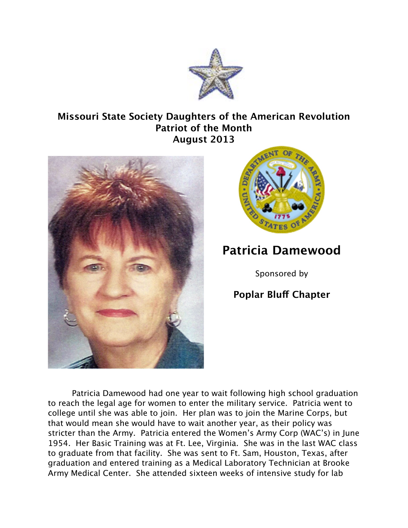

## **Missouri State Society Daughters of the American Revolution Patriot of the Month August 2013**





## **Patricia Damewood**

Sponsored by

## **Poplar Bluf Chapter**

Patricia Damewood had one year to wait following high school graduation to reach the legal age for women to enter the military service. Patricia went to college until she was able to join. Her plan was to join the Marine Corps, but that would mean she would have to wait another year, as their policy was stricter than the Army. Patricia entered the Women's Army Corp (WAC's) in June 1954. Her Basic Training was at Ft. Lee, Virginia. She was in the last WAC class to graduate from that facility. She was sent to Ft. Sam, Houston, Texas, after graduation and entered training as a Medical Laboratory Technician at Brooke Army Medical Center. She attended sixteen weeks of intensive study for lab